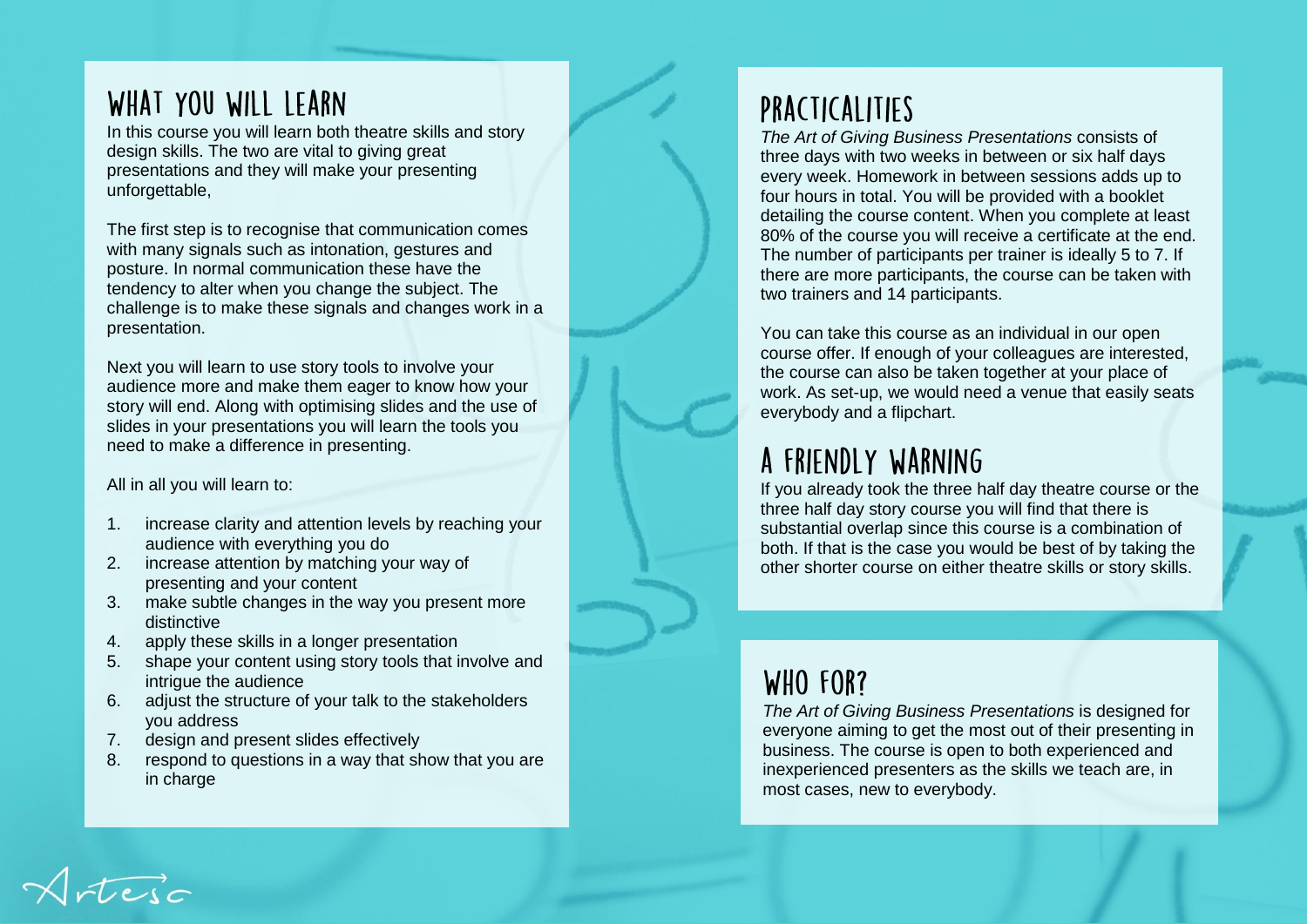### WHAT YOU WILL LEARN

In this course you will learn both theatre skills and story design skills. The two are vital to giving great presentations and they will make your presenting unforgettable,

The first step is to recognise that communication comes with many signals such as intonation, gestures and posture. In normal communication these have the tendency to alter when you change the subject. The challenge is to make these signals and changes work in a presentation.

Next you will learn to use story tools to involve your audience more and make them eager to know how your story will end. Along with optimising slides and the use of slides in your presentations you will learn the tools you need to make a difference in presenting.

All in all you will learn to:

- 1. increase clarity and attention levels by reaching your audience with everything you do
- 2. increase attention by matching your way of presenting and your content
- 3. make subtle changes in the way you present more distinctive
- 4. apply these skills in a longer presentation
- 5. shape your content using story tools that involve and intrigue the audience
- 6. adjust the structure of your talk to the stakeholders you address
- 7. design and present slides effectively
- 8. respond to questions in a way that show that you are in charge

# PRACTICALITIES

*The Art of Giving Business Presentations* consists of three days with two weeks in between or six half days every week. Homework in between sessions adds up to four hours in total. You will be provided with a booklet detailing the course content. When you complete at least 80% of the course you will receive a certificate at the end. The number of participants per trainer is ideally 5 to 7. If there are more participants, the course can be taken with two trainers and 14 participants.

You can take this course as an individual in our open course offer. If enough of your colleagues are interested, the course can also be taken together at your place of work. As set-up, we would need a venue that easily seats everybody and a flipchart.

## A FRIENDLY WARNING

If you already took the three half day theatre course or the three half day story course you will find that there is substantial overlap since this course is a combination of both. If that is the case you would be best of by taking the other shorter course on either theatre skills or story skills.

# WHO FOR?

*The Art of Giving Business Presentations* is designed for everyone aiming to get the most out of their presenting in business. The course is open to both experienced and inexperienced presenters as the skills we teach are, in most cases, new to everybody.

steic